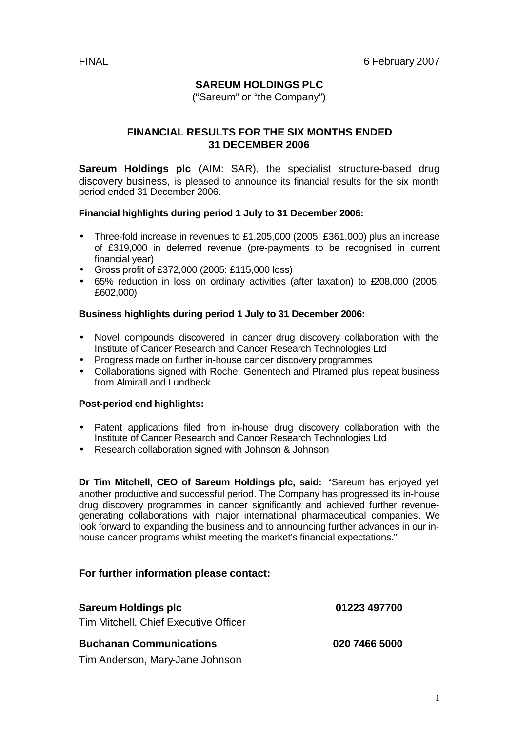# **SAREUM HOLDINGS PLC**

("Sareum" or "the Company")

# **FINANCIAL RESULTS FOR THE SIX MONTHS ENDED 31 DECEMBER 2006**

**Sareum Holdings plc** (AIM: SAR), the specialist structure-based drug discovery business, is pleased to announce its financial results for the six month period ended 31 December 2006.

#### **Financial highlights during period 1 July to 31 December 2006:**

- Three-fold increase in revenues to £1,205,000 (2005: £361,000) plus an increase of £319,000 in deferred revenue (pre-payments to be recognised in current financial year)
- Gross profit of £372,000 (2005: £115,000 loss)
- 65% reduction in loss on ordinary activities (after taxation) to £208,000 (2005: £602,000)

### **Business highlights during period 1 July to 31 December 2006:**

- Novel compounds discovered in cancer drug discovery collaboration with the Institute of Cancer Research and Cancer Research Technologies Ltd
- Progress made on further in-house cancer discovery programmes
- Collaborations signed with Roche, Genentech and PIramed plus repeat business from Almirall and Lundbeck

#### **Post-period end highlights:**

- Patent applications filed from in-house drug discovery collaboration with the Institute of Cancer Research and Cancer Research Technologies Ltd
- Research collaboration signed with Johnson & Johnson

**Dr Tim Mitchell, CEO of Sareum Holdings plc, said:** "Sareum has enjoyed yet another productive and successful period. The Company has progressed its in-house drug discovery programmes in cancer significantly and achieved further revenuegenerating collaborations with major international pharmaceutical companies. We look forward to expanding the business and to announcing further advances in our inhouse cancer programs whilst meeting the market's financial expectations."

### **For further information please contact:**

| <b>Sareum Holdings plc</b>                                              | 01223 497700  |
|-------------------------------------------------------------------------|---------------|
| Tim Mitchell, Chief Executive Officer<br><b>Buchanan Communications</b> | 020 7466 5000 |
| Tim Anderson, Mary-Jane Johnson                                         |               |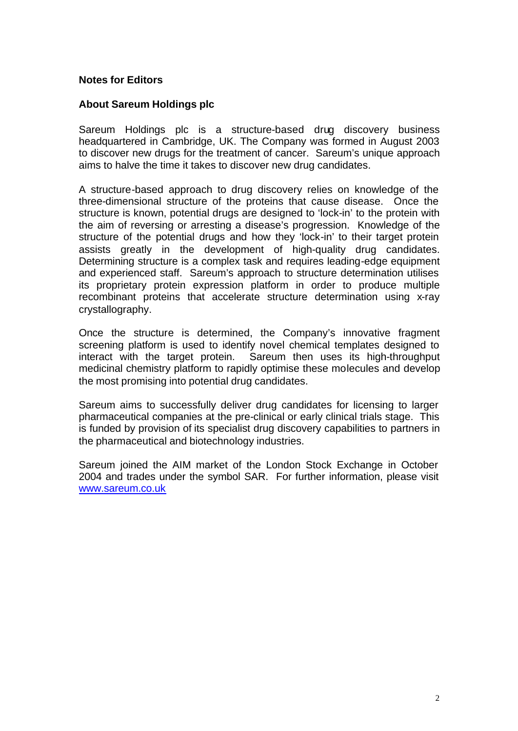### **Notes for Editors**

### **About Sareum Holdings plc**

Sareum Holdings plc is a structure-based drug discovery business headquartered in Cambridge, UK. The Company was formed in August 2003 to discover new drugs for the treatment of cancer. Sareum's unique approach aims to halve the time it takes to discover new drug candidates.

A structure-based approach to drug discovery relies on knowledge of the three-dimensional structure of the proteins that cause disease. Once the structure is known, potential drugs are designed to 'lock-in' to the protein with the aim of reversing or arresting a disease's progression. Knowledge of the structure of the potential drugs and how they 'lock-in' to their target protein assists greatly in the development of high-quality drug candidates. Determining structure is a complex task and requires leading-edge equipment and experienced staff. Sareum's approach to structure determination utilises its proprietary protein expression platform in order to produce multiple recombinant proteins that accelerate structure determination using x-ray crystallography.

Once the structure is determined, the Company's innovative fragment screening platform is used to identify novel chemical templates designed to interact with the target protein. Sareum then uses its high-throughput medicinal chemistry platform to rapidly optimise these molecules and develop the most promising into potential drug candidates.

Sareum aims to successfully deliver drug candidates for licensing to larger pharmaceutical companies at the pre-clinical or early clinical trials stage. This is funded by provision of its specialist drug discovery capabilities to partners in the pharmaceutical and biotechnology industries.

Sareum joined the AIM market of the London Stock Exchange in October 2004 and trades under the symbol SAR. For further information, please visit www.sareum.co.uk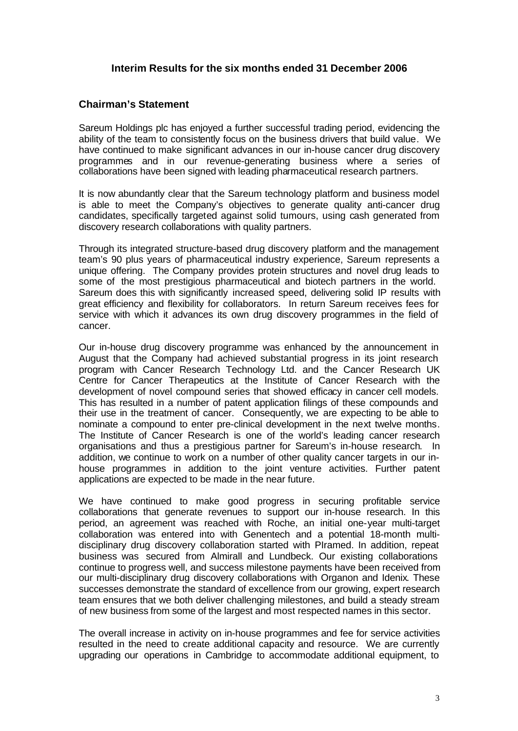### **Interim Results for the six months ended 31 December 2006**

### **Chairman's Statement**

Sareum Holdings plc has enjoyed a further successful trading period, evidencing the ability of the team to consistently focus on the business drivers that build value. We have continued to make significant advances in our in-house cancer drug discovery programmes and in our revenue-generating business where a series of collaborations have been signed with leading pharmaceutical research partners.

It is now abundantly clear that the Sareum technology platform and business model is able to meet the Company's objectives to generate quality anti-cancer drug candidates, specifically targeted against solid tumours, using cash generated from discovery research collaborations with quality partners.

Through its integrated structure-based drug discovery platform and the management team's 90 plus years of pharmaceutical industry experience, Sareum represents a unique offering. The Company provides protein structures and novel drug leads to some of the most prestigious pharmaceutical and biotech partners in the world. Sareum does this with significantly increased speed, delivering solid IP results with great efficiency and flexibility for collaborators. In return Sareum receives fees for service with which it advances its own drug discovery programmes in the field of cancer.

Our in-house drug discovery programme was enhanced by the announcement in August that the Company had achieved substantial progress in its joint research program with Cancer Research Technology Ltd. and the Cancer Research UK Centre for Cancer Therapeutics at the Institute of Cancer Research with the development of novel compound series that showed efficacy in cancer cell models. This has resulted in a number of patent application filings of these compounds and their use in the treatment of cancer. Consequently, we are expecting to be able to nominate a compound to enter pre-clinical development in the next twelve months. The Institute of Cancer Research is one of the world's leading cancer research organisations and thus a prestigious partner for Sareum's in-house research. In addition, we continue to work on a number of other quality cancer targets in our inhouse programmes in addition to the joint venture activities. Further patent applications are expected to be made in the near future.

We have continued to make good progress in securing profitable service collaborations that generate revenues to support our in-house research. In this period, an agreement was reached with Roche, an initial one-year multi-target collaboration was entered into with Genentech and a potential 18-month multidisciplinary drug discovery collaboration started with PIramed. In addition, repeat business was secured from Almirall and Lundbeck. Our existing collaborations continue to progress well, and success milestone payments have been received from our multi-disciplinary drug discovery collaborations with Organon and Idenix. These successes demonstrate the standard of excellence from our growing, expert research team ensures that we both deliver challenging milestones, and build a steady stream of new business from some of the largest and most respected names in this sector.

The overall increase in activity on in-house programmes and fee for service activities resulted in the need to create additional capacity and resource. We are currently upgrading our operations in Cambridge to accommodate additional equipment, to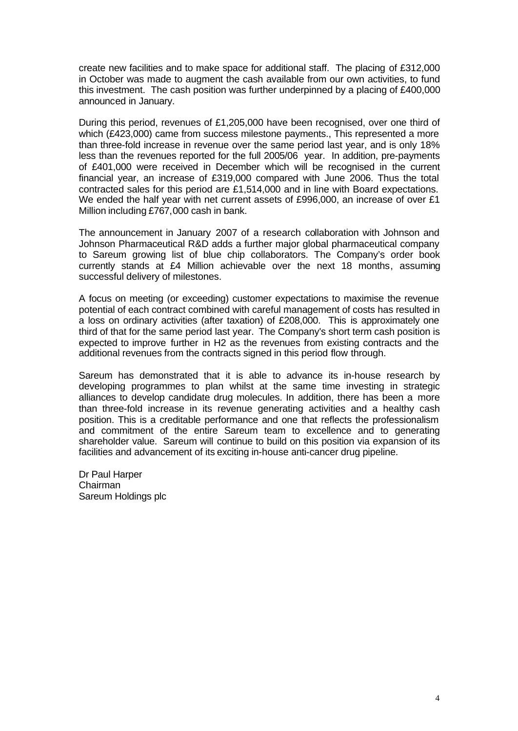create new facilities and to make space for additional staff. The placing of £312,000 in October was made to augment the cash available from our own activities, to fund this investment. The cash position was further underpinned by a placing of £400,000 announced in January.

During this period, revenues of £1,205,000 have been recognised, over one third of which (£423,000) came from success milestone payments., This represented a more than three-fold increase in revenue over the same period last year, and is only 18% less than the revenues reported for the full 2005/06 year. In addition, pre-payments of £401,000 were received in December which will be recognised in the current financial year, an increase of £319,000 compared with June 2006. Thus the total contracted sales for this period are £1,514,000 and in line with Board expectations. We ended the half year with net current assets of £996,000, an increase of over £1 Million including £767,000 cash in bank.

The announcement in January 2007 of a research collaboration with Johnson and Johnson Pharmaceutical R&D adds a further major global pharmaceutical company to Sareum growing list of blue chip collaborators. The Company's order book currently stands at £4 Million achievable over the next 18 months, assuming successful delivery of milestones.

A focus on meeting (or exceeding) customer expectations to maximise the revenue potential of each contract combined with careful management of costs has resulted in a loss on ordinary activities (after taxation) of £208,000. This is approximately one third of that for the same period last year. The Company's short term cash position is expected to improve further in H2 as the revenues from existing contracts and the additional revenues from the contracts signed in this period flow through.

Sareum has demonstrated that it is able to advance its in-house research by developing programmes to plan whilst at the same time investing in strategic alliances to develop candidate drug molecules. In addition, there has been a more than three-fold increase in its revenue generating activities and a healthy cash position. This is a creditable performance and one that reflects the professionalism and commitment of the entire Sareum team to excellence and to generating shareholder value. Sareum will continue to build on this position via expansion of its facilities and advancement of its exciting in-house anti-cancer drug pipeline.

Dr Paul Harper Chairman Sareum Holdings plc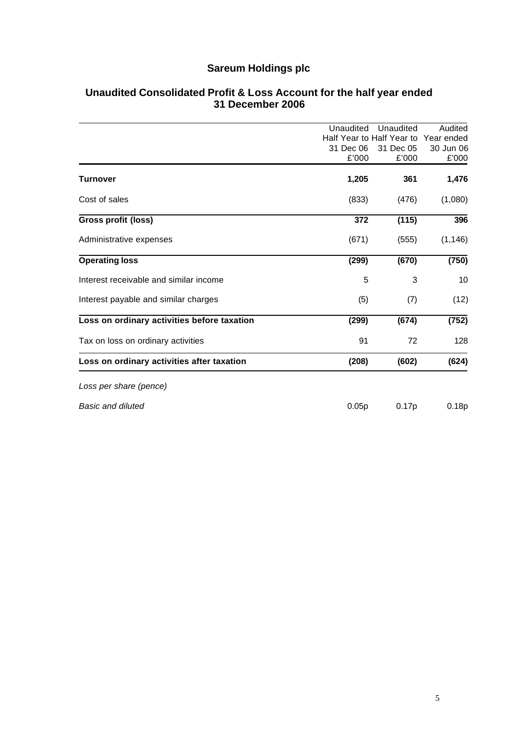# **Sareum Holdings plc**

|                                             | Unaudited                 | Unaudited | Audited    |
|---------------------------------------------|---------------------------|-----------|------------|
|                                             | Half Year to Half Year to |           | Year ended |
|                                             | 31 Dec 06                 | 31 Dec 05 | 30 Jun 06  |
|                                             | £'000                     | £'000     | £'000      |
| <b>Turnover</b>                             | 1,205                     | 361       | 1,476      |
| Cost of sales                               | (833)                     | (476)     | (1,080)    |
| Gross profit (loss)                         | 372                       | (115)     | 396        |
| Administrative expenses                     | (671)                     | (555)     | (1, 146)   |
| <b>Operating loss</b>                       | (299)                     | (670)     | (750)      |
| Interest receivable and similar income      | 5                         | 3         | 10         |
| Interest payable and similar charges        | (5)                       | (7)       | (12)       |
| Loss on ordinary activities before taxation | (299)                     | (674)     | (752)      |
| Tax on loss on ordinary activities          | 91                        | 72        | 128        |
| Loss on ordinary activities after taxation  | (208)                     | (602)     | (624)      |
| Loss per share (pence)                      |                           |           |            |
| <b>Basic and diluted</b>                    | 0.05p                     | 0.17p     | 0.18p      |

### **Unaudited Consolidated Profit & Loss Account for the half year ended 31 December 2006**

5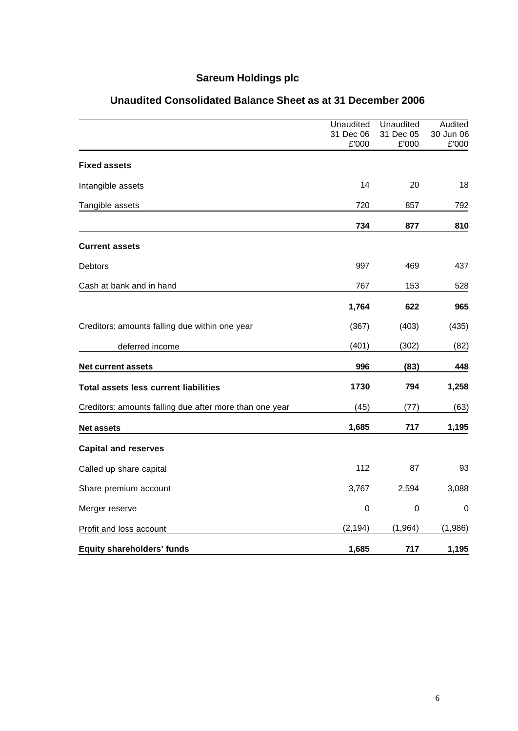# **Sareum Holdings plc**

|                                                         | Unaudited          | Unaudited          | Audited            |
|---------------------------------------------------------|--------------------|--------------------|--------------------|
|                                                         | 31 Dec 06<br>£'000 | 31 Dec 05<br>£'000 | 30 Jun 06<br>£'000 |
| <b>Fixed assets</b>                                     |                    |                    |                    |
| Intangible assets                                       | 14                 | 20                 | 18                 |
| Tangible assets                                         | 720                | 857                | 792                |
|                                                         | 734                | 877                | 810                |
| <b>Current assets</b>                                   |                    |                    |                    |
| Debtors                                                 | 997                | 469                | 437                |
| Cash at bank and in hand                                | 767                | 153                | 528                |
|                                                         | 1,764              | 622                | 965                |
| Creditors: amounts falling due within one year          | (367)              | (403)              | (435)              |
| deferred income                                         | (401)              | (302)              | (82)               |
| <b>Net current assets</b>                               | 996                | (83)               | 448                |
| <b>Total assets less current liabilities</b>            | 1730               | 794                | 1,258              |
| Creditors: amounts falling due after more than one year | (45)               | (77)               | (63)               |
| <b>Net assets</b>                                       | 1,685              | 717                | 1,195              |
| <b>Capital and reserves</b>                             |                    |                    |                    |
| Called up share capital                                 | 112                | 87                 | 93                 |
| Share premium account                                   | 3,767              | 2,594              | 3,088              |
| Merger reserve                                          | $\mathbf 0$        | $\mathbf 0$        | 0                  |
| Profit and loss account                                 | (2, 194)           | (1, 964)           | (1,986)            |
| <b>Equity shareholders' funds</b>                       | 1,685              | 717                | 1,195              |

# **Unaudited Consolidated Balance Sheet as at 31 December 2006**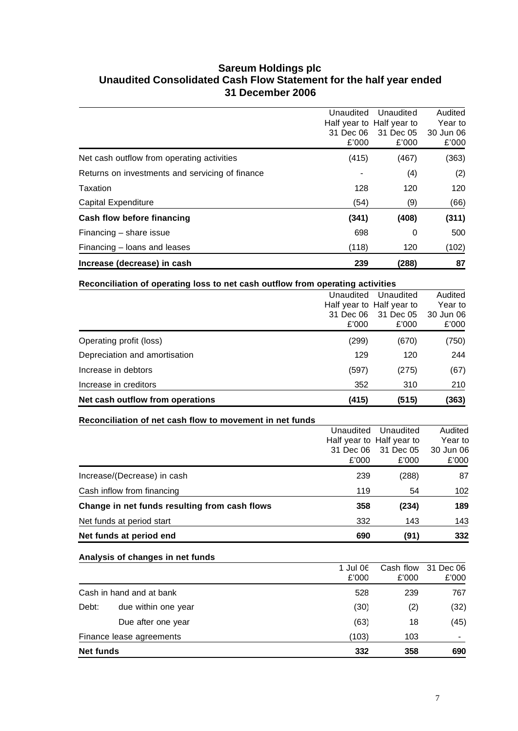# **Sareum Holdings plc Unaudited Consolidated Cash Flow Statement for the half year ended 31 December 2006**

| Increase (decrease) in cash                     | 239                | (288)                                  | 87                 |
|-------------------------------------------------|--------------------|----------------------------------------|--------------------|
| Financing - loans and leases                    | (118)              | 120                                    | (102)              |
| Financing – share issue                         | 698                | 0                                      | 500                |
| Cash flow before financing                      | (341)              | (408)                                  | (311)              |
| Capital Expenditure                             | (54)               | (9)                                    | (66)               |
| Taxation                                        | 128                | 120                                    | 120                |
| Returns on investments and servicing of finance |                    | (4)                                    | (2)                |
| Net cash outflow from operating activities      | (415)              | (467)                                  | (363)              |
|                                                 | 31 Dec 06<br>£'000 | 31 Dec 05<br>£'000                     | 30 Jun 06<br>£'000 |
|                                                 | Unaudited          | Unaudited<br>Half year to Half year to | Audited<br>Year to |

| Reconciliation of operating loss to net cash outflow from operating activities |                                 |                                                              |                                          |
|--------------------------------------------------------------------------------|---------------------------------|--------------------------------------------------------------|------------------------------------------|
|                                                                                | Unaudited<br>31 Dec 06<br>£'000 | Unaudited<br>Half year to Half year to<br>31 Dec 05<br>£'000 | Audited<br>Year to<br>30 Jun 06<br>£'000 |
| Operating profit (loss)                                                        | (299)                           | (670)                                                        | (750)                                    |
| Depreciation and amortisation                                                  | 129                             | 120                                                          | 244                                      |
| Increase in debtors                                                            | (597)                           | (275)                                                        | (67)                                     |
| Increase in creditors                                                          | 352                             | 310                                                          | 210                                      |
| Net cash outflow from operations                                               | (415)                           | (515)                                                        | (363)                                    |

| Reconciliation of net cash flow to movement in net funds |           |                           |           |
|----------------------------------------------------------|-----------|---------------------------|-----------|
|                                                          | Unaudited | Unaudited                 | Audited   |
|                                                          |           | Half year to Half year to | Year to   |
|                                                          | 31 Dec 06 | 31 Dec 05                 | 30 Jun 06 |
|                                                          | £'000     | £'000                     | £'000     |
| Increase/(Decrease) in cash                              | 239       | (288)                     | 87        |
| Cash inflow from financing                               | 119       | 54                        | 102       |
| Change in net funds resulting from cash flows            | 358       | (234)                     | 189       |
| Net funds at period start                                | 332       | 143                       | 143       |
| Net funds at period end                                  | 690       | (91)                      | 332       |

|                  | Analysis of changes in net funds |                   |                    |                    |
|------------------|----------------------------------|-------------------|--------------------|--------------------|
|                  |                                  | 1 Jul 06<br>£'000 | Cash flow<br>£'000 | 31 Dec 06<br>£'000 |
|                  | Cash in hand and at bank         | 528               | 239                | 767                |
| Debt:            | due within one year              | (30)              | (2)                | (32)               |
|                  | Due after one year               | (63)              | 18                 | (45)               |
|                  | Finance lease agreements         | (103)             | 103                |                    |
| <b>Net funds</b> |                                  | 332               | 358                | 690                |